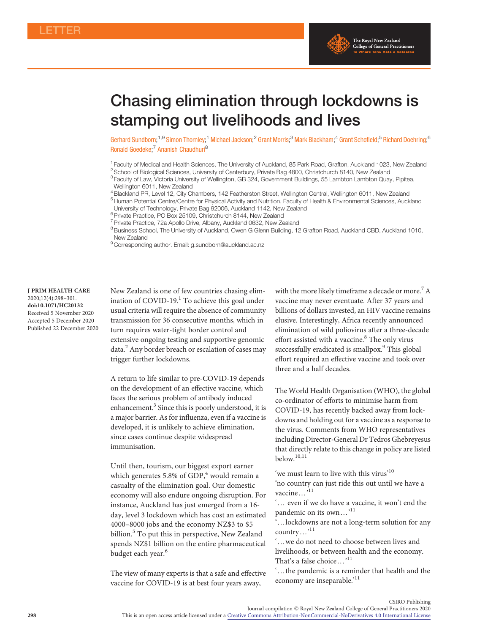

# Chasing elimination through lockdowns is stamping out livelihoods and lives

Gerhard Sundborn;<sup>1,9</sup> Simon Thornley;<sup>1</sup> Michael Jackson;<sup>2</sup> Grant Morris;<sup>3</sup> Mark Blackham;<sup>4</sup> Grant Schofield;<sup>5</sup> Richard Doehring;<sup>6</sup> Ronald Goedeke;<sup>7</sup> Ananish Chaudhuri<sup>8</sup>

<sup>1</sup> Faculty of Medical and Health Sciences, The University of Auckland, 85 Park Road, Grafton, Auckland 1023, New Zealand 2School of Biological Sciences, University of Canterbury, Private Bag 4800, Christchurch 8140, New Zealand

4Blackland PR, Level 12, City Chambers, 142 Featherston Street, Wellington Central, Wellington 6011, New Zealand

5Human Potential Centre/Centre for Physical Activity and Nutrition, Faculty of Health & Environmental Sciences, Auckland University of Technology, Private Bag 92006, Auckland 1142, New Zealand

<sup>6</sup> Private Practice, PO Box 25109, Christchurch 8144, New Zealand

<sup>7</sup> Private Practice, 72a Apollo Drive, Albany, Auckland 0632, New Zealand

8Business School, The University of Auckland, Owen G Glenn Building, 12 Grafton Road, Auckland CBD, Auckland 1010, New Zealand

<sup>9</sup> Corresponding author. Email: g.sundborn@auckland.ac.nz

J PRIM HEALTH CARE 2020;12(4):298–301. doi:10.1071/HC20132 Received 5 November 2020 Accepted 5 December 2020 Published 22 December 2020 New Zealand is one of few countries chasing elim-ination of COVID-[1](#page-1-0)9.<sup>1</sup> To achieve this goal under usual criteria will require the absence of community transmission for 36 consecutive months, which in turn requires water-tight border control and extensive ongoing testing and supportive genomic data.[2](#page-1-0) Any border breach or escalation of cases may trigger further lockdowns.

A return to life similar to pre-COVID-19 depends on the development of an effective vaccine, which faces the serious problem of antibody induced enhancement.<sup>[3](#page-2-0)</sup> Since this is poorly understood, it is a major barrier. As for influenza, even if a vaccine is developed, it is unlikely to achieve elimination, since cases continue despite widespread immunisation.

Until then, tourism, our biggest export earner which generates 5.8% of GDP, $4$  would remain a casualty of the elimination goal. Our domestic economy will also endure ongoing disruption. For instance, Auckland has just emerged from a 16 day, level 3 lockdown which has cost an estimated 4000–8000 jobs and the economy NZ\$3 to \$5 billion.<sup>[5](#page-2-0)</sup> To put this in perspective, New Zealand spends NZ\$1 billion on the entire pharmaceutical budget each year.<sup>[6](#page-2-0)</sup>

The view of many experts is that a safe and effective vaccine for COVID-19 is at best four years away,

with the more likely timeframe a decade or more.<sup>[7](#page-2-0)</sup> A vaccine may never eventuate. After 37 years and billions of dollars invested, an HIV vaccine remains elusive. Interestingly, Africa recently announced elimination of wild poliovirus after a three-decade effort assisted with a vaccine.<sup>[8](#page-2-0)</sup> The only virus successfully eradicated is smallpox.<sup>[9](#page-2-0)</sup> This global effort required an effective vaccine and took over three and a half decades.

The World Health Organisation (WHO), the global co-ordinator of efforts to minimise harm from COVID-19, has recently backed away from lockdowns and holding out for a vaccine as a response to the virus. Comments from WHO representatives including Director-General Dr Tedros Ghebreyesus that directly relate to this change in policy are listed below.[10,11](#page-2-0)

'we must learn to live with this virus'<sup>[10](#page-2-0)</sup> 'no country can just ride this out until we have a vaccine...<sup>[11](#page-2-0)</sup>

'... even if we do have a vaccine, it won't end the pandemic on its own...'<sup>[11](#page-2-0)</sup>

'...lockdowns are not a long-term solution for any country...'<sup>[11](#page-2-0)</sup>

... we do not need to choose between lives and livelihoods, or between health and the economy. That's a false choice  $\dots$ <sup>[11](#page-2-0)</sup>

'...the pandemic is a reminder that health and the economy are inseparable.'<sup>[11](#page-2-0)</sup>

<sup>&</sup>lt;sup>3</sup> Faculty of Law, Victoria University of Wellington, GB 324, Government Buildings, 55 Lambton Lambton Quay, Pipitea,

Wellington 6011, New Zealand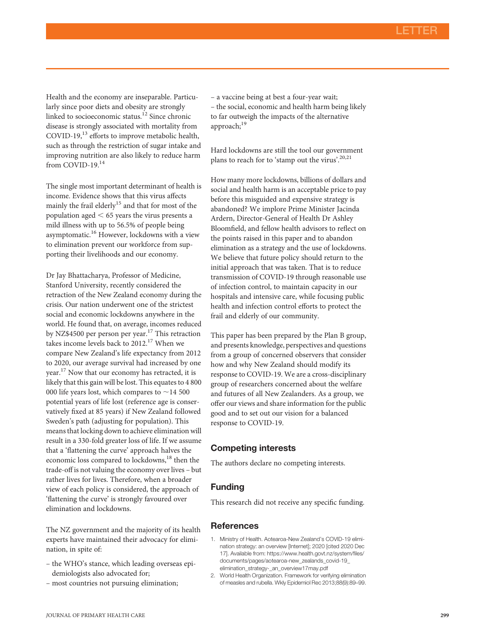<span id="page-1-0"></span>Health and the economy are inseparable. Particularly since poor diets and obesity are strongly linked to socioeconomic status.<sup>[12](#page-2-0)</sup> Since chronic disease is strongly associated with mortality from COVID-19,<sup>[13](#page-2-0)</sup> efforts to improve metabolic health, such as through the restriction of sugar intake and improving nutrition are also likely to reduce harm from COVID-19.<sup>[14](#page-2-0)</sup>

The single most important determinant of health is income. Evidence shows that this virus affects mainly the frail elderly<sup>[15](#page-2-0)</sup> and that for most of the population aged  $\leq 65$  years the virus presents a mild illness with up to 56.5% of people being asymptomatic.<sup>[16](#page-2-0)</sup> However, lockdowns with a view to elimination prevent our workforce from supporting their livelihoods and our economy.

Dr Jay Bhattacharya, Professor of Medicine, Stanford University, recently considered the retraction of the New Zealand economy during the crisis. Our nation underwent one of the strictest social and economic lockdowns anywhere in the world. He found that, on average, incomes reduced by NZ\$4500 per person per year.<sup>[17](#page-2-0)</sup> This retraction takes income levels back to 2012.<sup>[17](#page-2-0)</sup> When we compare New Zealand's life expectancy from 2012 to 2020, our average survival had increased by one year.<sup>[17](#page-2-0)</sup> Now that our economy has retracted, it is likely that this gain will be lost. This equates to 4 800 000 life years lost, which compares to  $\sim$  14 500 potential years of life lost (reference age is conservatively fixed at 85 years) if New Zealand followed Sweden's path (adjusting for population). This means that locking down to achieve elimination will result in a 330-fold greater loss of life. If we assume that a 'flattening the curve' approach halves the economic loss compared to lockdowns,<sup>[18](#page-2-0)</sup> then the trade-off is not valuing the economy over lives – but rather lives for lives. Therefore, when a broader view of each policy is considered, the approach of 'flattening the curve' is strongly favoured over elimination and lockdowns.

The NZ government and the majority of its health experts have maintained their advocacy for elimination, in spite of:

- the WHO's stance, which leading overseas epidemiologists also advocated for;
- most countries not pursuing elimination;

– a vaccine being at best a four-year wait; – the social, economic and health harm being likely to far outweigh the impacts of the alternative approach;<sup>[19](#page-2-0)</sup>

Hard lockdowns are still the tool our government plans to reach for to 'stamp out the virus'.<sup>[20,21](#page-2-0)</sup>

How many more lockdowns, billions of dollars and social and health harm is an acceptable price to pay before this misguided and expensive strategy is abandoned? We implore Prime Minister Jacinda Ardern, Director-General of Health Dr Ashley Bloomfield, and fellow health advisors to reflect on the points raised in this paper and to abandon elimination as a strategy and the use of lockdowns. We believe that future policy should return to the initial approach that was taken. That is to reduce transmission of COVID-19 through reasonable use of infection control, to maintain capacity in our hospitals and intensive care, while focusing public health and infection control efforts to protect the frail and elderly of our community.

This paper has been prepared by the Plan B group, and presents knowledge, perspectives and questions from a group of concerned observers that consider how and why New Zealand should modify its response to COVID-19. We are a cross-disciplinary group of researchers concerned about the welfare and futures of all New Zealanders. As a group, we offer our views and share information for the public good and to set out our vision for a balanced response to COVID-19.

## Competing interests

The authors declare no competing interests.

### Funding

This research did not receive any specific funding.

#### References

- 1. Ministry of Health. Aotearoa-New Zealand's COVID-19 elimination strategy: an overview [Internet]; 2020 [cited 2020 Dec 17]. Available from: [https://www.health.govt.nz/system/](https://www.health.govt.nz/system/files/documents/pages/aotearoa-new_zealands_covid-19_elimination_strategy-_an_overview17may.pdf)files/ [documents/pages/aotearoa-new\\_zealands\\_covid-19\\_](https://www.health.govt.nz/system/files/documents/pages/aotearoa-new_zealands_covid-19_elimination_strategy-_an_overview17may.pdf) [elimination\\_strategy-\\_an\\_overview17may.pdf](https://www.health.govt.nz/system/files/documents/pages/aotearoa-new_zealands_covid-19_elimination_strategy-_an_overview17may.pdf)
- 2. World Health Organization. Framework for verifying elimination of measles and rubella. Wkly Epidemiol Rec 2013;88(9):89–99.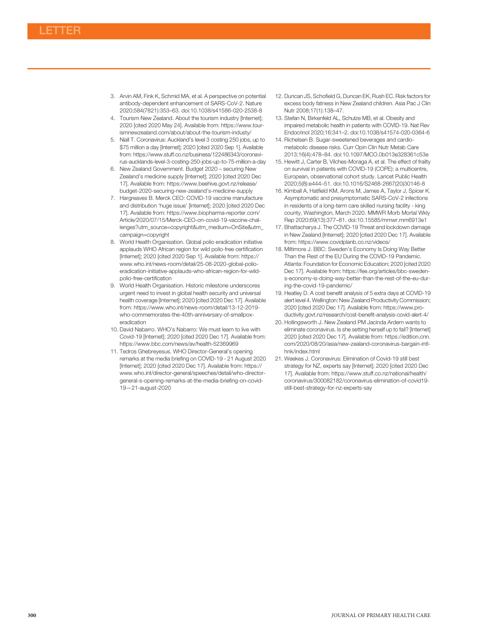- <span id="page-2-0"></span>3. Arvin AM, Fink K, Schmid MA, et al. A perspective on potential antibody-dependent enhancement of SARS-CoV-2. Nature 2020;584(7821):353–63. doi[:10.1038/s41586-020-2538-8](http://dx.doi.org/10.1038/s41586-020-2538-8)
- 4. Tourism New Zealand. About the tourism industry [Internet]; 2020 [cited 2020 May 24]. Available from: [https://www.tour](https://www.tourismnewzealand.com/about/about-the-tourism-industy/)[ismnewzealand.com/about/about-the-tourism-industy/](https://www.tourismnewzealand.com/about/about-the-tourism-industy/)
- 5. Niall T. Coronavirus: Auckland's level 3 costing 250 jobs, up to \$75 million a day [Internet]; 2020 [cited 2020 Sep 1]. Available from: [https://www.stuff.co.nz/business/122486343/coronavi](https://www.stuff.co.nz/business/122486343/coronavirus-aucklands-level-3-costing-250-jobs-up-to-75-million-a-day)[rus-aucklands-level-3-costing-250-jobs-up-to-75-million-a-day](https://www.stuff.co.nz/business/122486343/coronavirus-aucklands-level-3-costing-250-jobs-up-to-75-million-a-day)
- 6. New Zealand Government. Budget 2020 securing New Zealand's medicine supply [Internet]; 2020 [cited 2020 Dec 17]. Available from: [https://www.beehive.govt.nz/release/](https://www.beehive.govt.nz/release/budget-2020-securing-new-zealand) [budget-2020-securing-new-zealand's-medicine-supply](https://www.beehive.govt.nz/release/budget-2020-securing-new-zealand)
- 7. Hargreaves B. Merck CEO: COVID-19 vaccine manufacture and distribution 'huge issue' [Internet]; 2020 [cited 2020 Dec 17]. Available from: [https://www.biopharma-reporter.com/](https://www.biopharma-reporter.com/Article/2020/07/15/Merck-CEO-on-covid-19-vaccine-challenges?utm_source=copyright&utm_medium=OnSite&utm_campaign=copyright) [Article/2020/07/15/Merck-CEO-on-covid-19-vaccine-chal](https://www.biopharma-reporter.com/Article/2020/07/15/Merck-CEO-on-covid-19-vaccine-challenges?utm_source=copyright&utm_medium=OnSite&utm_campaign=copyright)[lenges?utm\\_source=copyright](https://www.biopharma-reporter.com/Article/2020/07/15/Merck-CEO-on-covid-19-vaccine-challenges?utm_source=copyright&utm_medium=OnSite&utm_campaign=copyright)&[utm\\_medium=OnSite&utm\\_](https://www.biopharma-reporter.com/Article/2020/07/15/Merck-CEO-on-covid-19-vaccine-challenges?utm_source=copyright&utm_medium=OnSite&utm_campaign=copyright) [campaign=copyright](https://www.biopharma-reporter.com/Article/2020/07/15/Merck-CEO-on-covid-19-vaccine-challenges?utm_source=copyright&utm_medium=OnSite&utm_campaign=copyright)
- 8. World Health Organisation. Global polio eradication initiative applauds WHO African region for wild polio-free certification [Internet]; 2020 [cited 2020 Sep 1]. Available from: [https://](https://www.who.int/news-room/detail/25-08-2020-global-polio-eradication-initiative-applauds-who-african-region-for-wild-polio-free-certification) [www.who.int/news-room/detail/25-08-2020-global-polio](https://www.who.int/news-room/detail/25-08-2020-global-polio-eradication-initiative-applauds-who-african-region-for-wild-polio-free-certification)[eradication-initiative-applauds-who-african-region-for-wild](https://www.who.int/news-room/detail/25-08-2020-global-polio-eradication-initiative-applauds-who-african-region-for-wild-polio-free-certification)[polio-free-certi](https://www.who.int/news-room/detail/25-08-2020-global-polio-eradication-initiative-applauds-who-african-region-for-wild-polio-free-certification)fication
- 9. World Health Organisation. Historic milestone underscores urgent need to invest in global health security and universal health coverage [Internet]; 2020 [cited 2020 Dec 17]. Available from: [https://www.who.int/news-room/detail/13-12-2019](https://www.who.int/news-room/detail/13-12-2019-who-commemorates-the-40th-anniversary-of-smallpox-eradication) [who-commemorates-the-40th-anniversary-of-smallpox](https://www.who.int/news-room/detail/13-12-2019-who-commemorates-the-40th-anniversary-of-smallpox-eradication)[eradication](https://www.who.int/news-room/detail/13-12-2019-who-commemorates-the-40th-anniversary-of-smallpox-eradication)
- 10. David Nabarro. WHO's Nabarro: We must learn to live with Covid-19 [Internet]; 2020 [cited 2020 Dec 17]. Available from: <https://www.bbc.com/news/av/health-52369969>
- 11. Tedros Ghebreyesus. WHO Director-General's opening remarks at the media briefing on COVID-19 - 21 August 2020 [Internet]; 2020 [cited 2020 Dec 17]. Available from: [https://](https://www.who.int/director-general/speeches/detail/who-director-general-s-opening-remarks-at-the-media-briefing-on-covid-19—21-august-2020) [www.who.int/director-general/speeches/detail/who-director](https://www.who.int/director-general/speeches/detail/who-director-general-s-opening-remarks-at-the-media-briefing-on-covid-19—21-august-2020)[general-s-opening-remarks-at-the-media-brie](https://www.who.int/director-general/speeches/detail/who-director-general-s-opening-remarks-at-the-media-briefing-on-covid-19—21-august-2020)fing-on-covid-19—[21-august-2020](https://www.who.int/director-general/speeches/detail/who-director-general-s-opening-remarks-at-the-media-briefing-on-covid-19—21-august-2020)
- 12. Duncan JS, Schofield G, Duncan EK, Rush EC. Risk factors for excess body fatness in New Zealand children. Asia Pac J Clin Nutr 2008;17(1):138–47.
- 13. Stefan N, Birkenfeld AL, Schulze MB, et al. Obesity and impaired metabolic health in patients with COVID-19. Nat Rev Endocrinol 2020;16:341–2. doi[:10.1038/s41574-020-0364-6](http://dx.doi.org/10.1038/s41574-020-0364-6)
- 14. Richelsen B. Sugar-sweetened beverages and cardiometabolic disease risks. Curr Opin Clin Nutr Metab Care 2013;16(4):478–84. doi:[10.1097/MCO.0b013e328361c53e](http://dx.doi.org/10.1097/MCO.0b013e328361c53e)
- 15. Hewitt J, Carter B, Vilches-Moraga A, et al. The effect of frailty on survival in patients with COVID-19 (COPE): a multicentre, European, observational cohort study. Lancet Public Health 2020;5(8):e444–51. doi[:10.1016/S2468-2667\(20\)30146-8](http://dx.doi.org/10.1016/S2468-2667(20)30146-8)
- 16. Kimball A, Hatfield KM, Arons M, James A, Taylor J, Spicer K. Asymptomatic and presymptomatic SARS-CoV-2 infections in residents of a long-term care skilled nursing facility - king county, Washington, March 2020. MMWR Morb Mortal Wkly Rep 2020;69(13):377–81. doi:[10.15585/mmwr.mm6913e1](http://dx.doi.org/10.15585/mmwr.mm6913e1)
- 17. Bhattacharya J. The COVID-19 Threat and lockdown damage in New Zealand [Internet]; 2020 [cited 2020 Dec 17]. Available from:<https://www.covidplanb.co.nz/videos/>
- 18. Miltimore J. BBC: Sweden's Economy Is Doing Way Better Than the Rest of the EU During the COVID-19 Pandemic. Atlanta: Foundation for Economic Education; 2020 [cited 2020 Dec 17]. Available from: [https://fee.org/articles/bbc-sweden](https://fee.org/articles/bbc-sweden-s-economy-is-doing-way-better-than-the-rest-of-the-eu-during-the-covid-19-pandemic/)[s-economy-is-doing-way-better-than-the-rest-of-the-eu-dur](https://fee.org/articles/bbc-sweden-s-economy-is-doing-way-better-than-the-rest-of-the-eu-during-the-covid-19-pandemic/)[ing-the-covid-19-pandemic/](https://fee.org/articles/bbc-sweden-s-economy-is-doing-way-better-than-the-rest-of-the-eu-during-the-covid-19-pandemic/)
- 19. Heatley D. A cost benefit analysis of 5 extra days at COVID-19 alert level 4. Wellington: New Zealand Productivity Commission; 2020 [cited 2020 Dec 17]. Available from: [https://www.pro](https://www.productivity.govt.nz/research/cost-benefit-analysis-covid-alert-4/)[ductivity.govt.nz/research/cost-bene](https://www.productivity.govt.nz/research/cost-benefit-analysis-covid-alert-4/)fit-analysis-covid-alert-4/
- 20. Hollingsworth J. New Zealand PM Jacinda Ardern wants to eliminate coronavirus. Is she setting herself up to fail? [Internet] 2020 [cited 2020 Dec 17]. Available from: [https://edition.cnn.](https://edition.cnn.com/2020/08/20/asia/new-zealand-coronavirus-bargain-intl-hnk/index.html) [com/2020/08/20/asia/new-zealand-coronavirus-bargain-intl](https://edition.cnn.com/2020/08/20/asia/new-zealand-coronavirus-bargain-intl-hnk/index.html)[hnk/index.html](https://edition.cnn.com/2020/08/20/asia/new-zealand-coronavirus-bargain-intl-hnk/index.html)
- 21. Weekes J. Coronavirus: Elimination of Covid-19 still best strategy for NZ, experts say [Internet]; 2020 [cited 2020 Dec 17]. Available from: [https://www.stuff.co.nz/national/health/](https://www.stuff.co.nz/national/health/coronavirus/300082182/coronavirus-elimination-of-covid19-still-best-strategy-for-nz-experts-say) [coronavirus/300082182/coronavirus-elimination-of-covid19](https://www.stuff.co.nz/national/health/coronavirus/300082182/coronavirus-elimination-of-covid19-still-best-strategy-for-nz-experts-say) [still-best-strategy-for-nz-experts-say](https://www.stuff.co.nz/national/health/coronavirus/300082182/coronavirus-elimination-of-covid19-still-best-strategy-for-nz-experts-say)